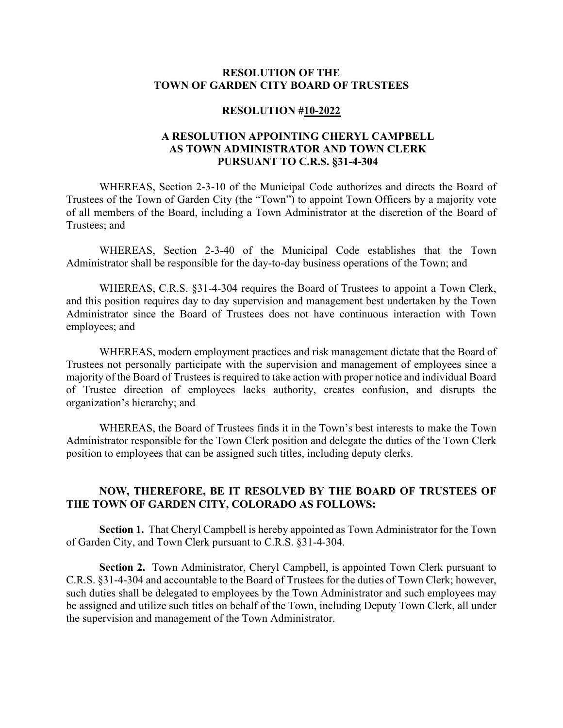## **RESOLUTION OF THE TOWN OF GARDEN CITY BOARD OF TRUSTEES**

## **RESOLUTION #10-2022**

## **A RESOLUTION APPOINTING CHERYL CAMPBELL AS TOWN ADMINISTRATOR AND TOWN CLERK PURSUANT TO C.R.S. §31-4-304**

WHEREAS, Section 2-3-10 of the Municipal Code authorizes and directs the Board of Trustees of the Town of Garden City (the "Town") to appoint Town Officers by a majority vote of all members of the Board, including a Town Administrator at the discretion of the Board of Trustees; and

WHEREAS, Section 2-3-40 of the Municipal Code establishes that the Town Administrator shall be responsible for the day-to-day business operations of the Town; and

WHEREAS, C.R.S. §31-4-304 requires the Board of Trustees to appoint a Town Clerk, and this position requires day to day supervision and management best undertaken by the Town Administrator since the Board of Trustees does not have continuous interaction with Town employees; and

WHEREAS, modern employment practices and risk management dictate that the Board of Trustees not personally participate with the supervision and management of employees since a majority of the Board of Trustees is required to take action with proper notice and individual Board of Trustee direction of employees lacks authority, creates confusion, and disrupts the organization's hierarchy; and

WHEREAS, the Board of Trustees finds it in the Town's best interests to make the Town Administrator responsible for the Town Clerk position and delegate the duties of the Town Clerk position to employees that can be assigned such titles, including deputy clerks.

## **NOW, THEREFORE, BE IT RESOLVED BY THE BOARD OF TRUSTEES OF THE TOWN OF GARDEN CITY, COLORADO AS FOLLOWS:**

**Section 1.** That Cheryl Campbell is hereby appointed as Town Administrator for the Town of Garden City, and Town Clerk pursuant to C.R.S. §31-4-304.

**Section 2.** Town Administrator, Cheryl Campbell, is appointed Town Clerk pursuant to C.R.S. §31-4-304 and accountable to the Board of Trustees for the duties of Town Clerk; however, such duties shall be delegated to employees by the Town Administrator and such employees may be assigned and utilize such titles on behalf of the Town, including Deputy Town Clerk, all under the supervision and management of the Town Administrator.